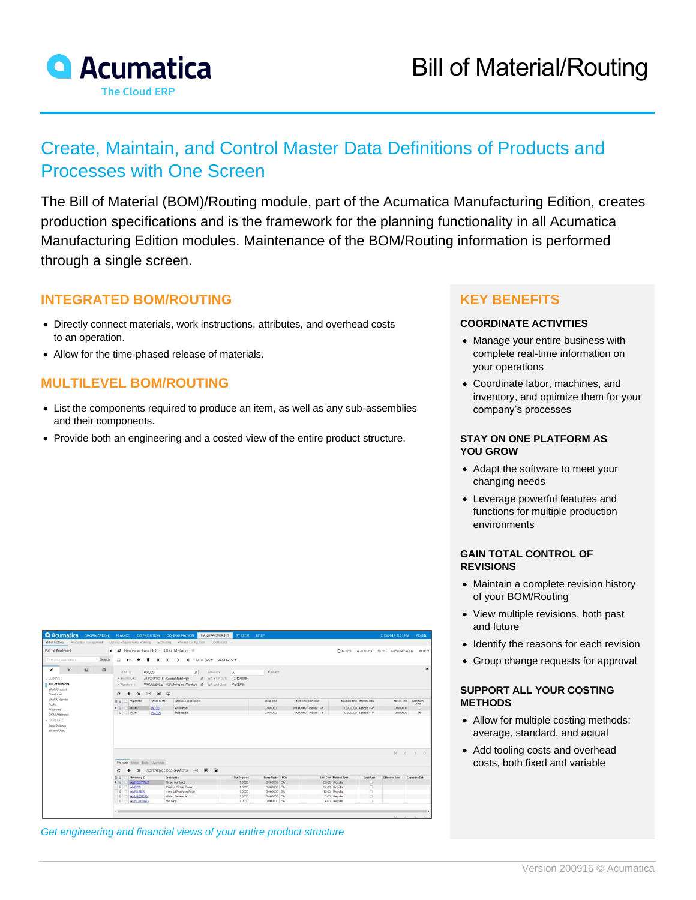

## Create, Maintain, and Control Master Data Definitions of Products and Processes with One Screen

The Bill of Material (BOM)/Routing module, part of the Acumatica Manufacturing Edition, creates production specifications and is the framework for the planning functionality in all Acumatica Manufacturing Edition modules. Maintenance of the BOM/Routing information is performed through a single screen.

## **INTEGRATED BOM/ROUTING**

- Directly connect materials, work instructions, attributes, and overhead costs to an operation.
- Allow for the time-phased release of materials.

## **MULTILEVEL BOM/ROUTING**

- List the components required to produce an item, as well as any sub-assemblies and their components.
- Provide both an engineering and a costed view of the entire product structure.

## **KEY BENEFITS**

#### **COORDINATE ACTIVITIES**

- Manage your entire business with complete real-time information on your operations
- Coordinate labor, machines, and inventory, and optimize them for your company's processes

#### **STAY ON ONE PLATFORM AS YOU GROW**

- Adapt the software to meet your changing needs
- Leverage powerful features and functions for multiple production environments

#### **GAIN TOTAL CONTROL OF REVISIONS**

- Maintain a complete revision history of your BOM/Routing
- View multiple revisions, both past and future
- Identify the reasons for each revision
- Group change requests for approval

#### **SUPPORT ALL YOUR COSTING METHODS**

- Allow for multiple costing methods: average, standard, and actual
- Add tooling costs and overhead costs, both fixed and variable

|                                                                                      | Bill of Material Production Management Material Requirements Planning Estimating Product Configurator<br><b>Dashboards</b> |                            |                       |                              |                      |                               |                           |
|--------------------------------------------------------------------------------------|----------------------------------------------------------------------------------------------------------------------------|----------------------------|-----------------------|------------------------------|----------------------|-------------------------------|---------------------------|
| <b>Bill of Material</b>                                                              | ○ Revision Two HQ - Bill of Material ★<br>$\epsilon$                                                                       |                            |                       | <b>D</b> NOTES               | ACTIVITIES           | FILES<br><b>CUSTOMIZATION</b> | HELP .                    |
| Search<br>Type your query hare                                                       | $\overline{H}$<br>$\mathsf{K}$<br>$\lambda$<br>ACTIONS . REPORTS .<br>$\overline{\phantom{a}}$<br>$\sim$<br>$\rightarrow$  |                            |                       |                              |                      |                               |                           |
| 3d<br>$\mathfrak{D}$<br>$\epsilon$<br>$\rightarrow$                                  | BOM ID:<br>0000004<br>Revision<br>A<br>$\mathcal{D}$                                                                       | 2 Active                   |                       |                              |                      |                               | ▴                         |
| $+$ MANAGE                                                                           | · Inventory ID:<br>Eff. Start Date:<br>AMKEURIG45 - Keurig Model 450<br>12/12/2016<br>e                                    |                            |                       |                              |                      |                               |                           |
| <b>Bill of Material</b>                                                              | WHOLESALE - HQ Wholesale Warehou # Eff. End Date:<br>6/6/2079<br>· Warehouse                                               |                            |                       |                              |                      |                               |                           |
| Work Centers                                                                         |                                                                                                                            |                            |                       |                              |                      |                               |                           |
| Overhead                                                                             | $\boxed{\mathbf{x}}$<br>$\overline{\bullet}$<br>$\times$<br>$\left  - \right $<br>c                                        |                            |                       |                              |                      |                               |                           |
| Work Calendar<br><b>Tools</b>                                                        | * Oper Nbr<br>Work Center<br>Operation Description                                                                         | Setup Time                 | Run Time Run Rate     | Machine Time Machine Rate    |                      | Queue Time                    | <b>Backflush</b><br>Labor |
|                                                                                      | 0010<br>WC10<br>Assembly                                                                                                   | 0.000000                   | 10 000000 Pieces / Hr |                              | 0.000000 Pieces / Hr | 0.000000                      | o                         |
|                                                                                      |                                                                                                                            |                            |                       |                              |                      |                               |                           |
|                                                                                      | <b>B</b> C 0020<br>Inspection<br><b>WC100</b>                                                                              | 0.000000                   | 1.000000 Pieces / Hr  |                              | 0.000000 Pieces / Hr | 0.000000                      | v                         |
|                                                                                      |                                                                                                                            |                            |                       |                              |                      |                               |                           |
|                                                                                      |                                                                                                                            |                            |                       |                              |                      | $ c \tC \tD$                  |                           |
|                                                                                      | Materials Steps Tools Overhead                                                                                             |                            |                       |                              |                      |                               |                           |
|                                                                                      | $H$ <b>x</b><br>$\bullet$<br>REFERENCE DESIGNATORS<br>c<br>$\times$                                                        |                            |                       |                              |                      |                               | $\rightarrow$             |
|                                                                                      | Inventory ID<br>Description<br><b>Oly Required</b><br>华 马                                                                  | Scrap Factor *UOM          |                       | Unit Cost Material Type      | Backflush            | <b>Effective Date</b>         | <b>Expiration Date</b>    |
|                                                                                      | <b>AMRESVINLT</b><br>Reservoir Inlet<br>1,0000<br>$\rightarrow$                                                            | 0.000000 EA                |                       | 58.80 Regular                | o                    |                               |                           |
|                                                                                      | <b>AMPCB</b><br>Printed Circuit Board<br>1,0000<br>$\omega$                                                                | 0.000000 EA                |                       | 37.00 Regular                | O                    |                               |                           |
|                                                                                      | Internal Puritying Filter<br><b>AMFILTER</b><br>1,0000<br>а                                                                | 0.000000 EA                |                       | 10.00 Regular                | o                    |                               |                           |
| Machines<br><b>BOM Attributes</b><br>- EXPLORE<br><b>Item Settings</b><br>Where Used | Water Reservoir<br>AMH20RESV<br>1,0000<br>1,0000<br>$B$ $E$<br>AMHOUSING<br>Housing                                        | 0.000000 EA<br>0.000000 EA |                       | 3.00 Regular<br>4.00 Regular | $\Box$<br>o          |                               |                           |

*Get engineering and financial views of your entire product structure*